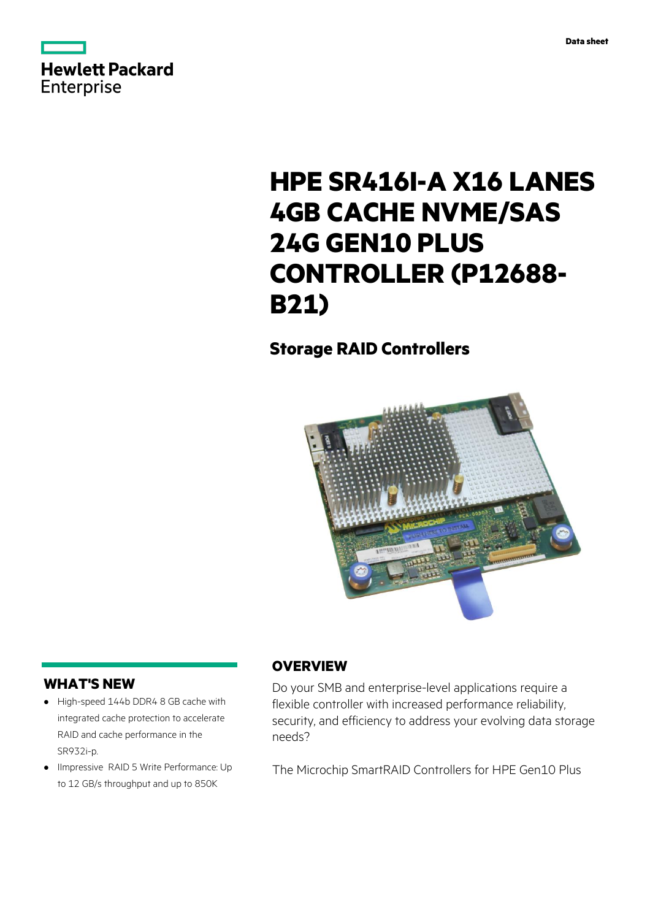



# **HPE SR416I-A X16 LANES 4GB CACHE NVME/SAS 24G GEN10 PLUS CONTROLLER (P12688- B21)**

# **Storage RAID Controllers**



# **WHAT'S NEW**

- **·** High-speed 144b DDR4 8 GB cache with integrated cache protection to accelerate RAID and cache performance in the SR932i-p.
- **·** IImpressive RAID 5 Write Performance: Up to 12 GB/s throughput and up to 850K

# **OVERVIEW**

Do your SMB and enterprise-level applications require a flexible controller with increased performance reliability, security, and efficiency to address your evolving data storage needs?

The Microchip SmartRAID Controllers for HPE Gen10 Plus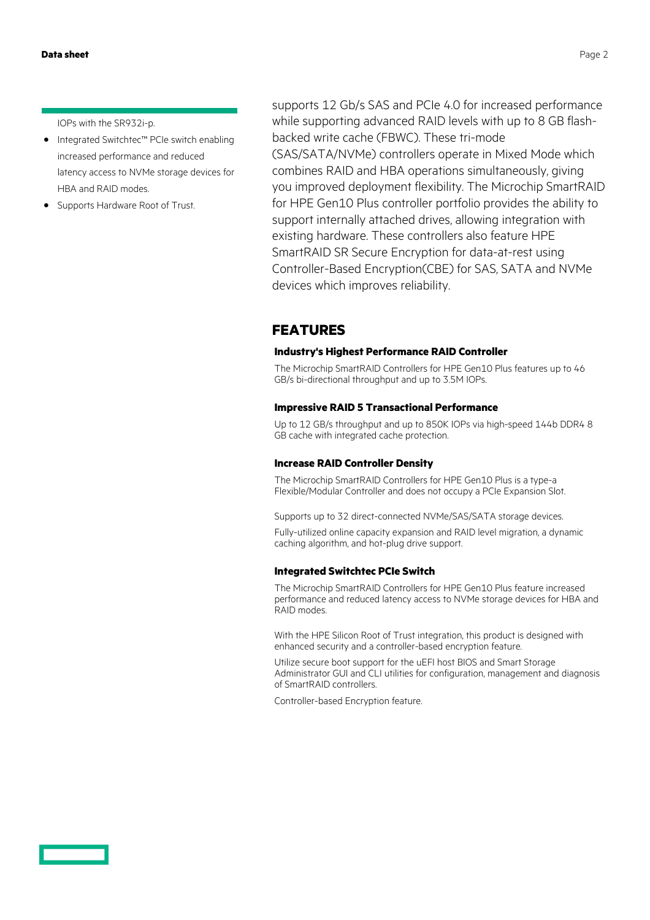IOPs with the SR932i-p.

- **·** Integrated Switchtec™ PCIe switch enabling increased performance and reduced latency access to NVMe storage devices for HBA and RAID modes.
- **·** Supports Hardware Root of Trust.

supports 12 Gb/s SAS and PCIe 4.0 for increased performance while supporting advanced RAID levels with up to 8 GB flashbacked write cache (FBWC). These tri-mode (SAS/SATA/NVMe) controllers operate in Mixed Mode which combines RAID and HBA operations simultaneously, giving you improved deployment flexibility. The Microchip SmartRAID for HPE Gen10 Plus controller portfolio provides the ability to support internally attached drives, allowing integration with existing hardware. These controllers also feature HPE SmartRAID SR Secure Encryption for data-at-rest using Controller-Based Encryption(CBE) for SAS, SATA and NVMe devices which improves reliability.

### **FEATURES**

#### **Industry's Highest Performance RAID Controller**

The Microchip SmartRAID Controllers for HPE Gen10 Plus features up to 46 GB/s bi-directional throughput and up to 3.5M IOPs.

#### **Impressive RAID 5 Transactional Performance**

Up to 12 GB/s throughput and up to 850K IOPs via high-speed 144b DDR4 8 GB cache with integrated cache protection.

#### **Increase RAID Controller Density**

The Microchip SmartRAID Controllers for HPE Gen10 Plus is a type-a Flexible/Modular Controller and does not occupy a PCIe Expansion Slot.

Supports up to 32 direct-connected NVMe/SAS/SATA storage devices.

Fully-utilized online capacity expansion and RAID level migration, a dynamic caching algorithm, and hot-plug drive support.

#### **Integrated Switchtec PCIe Switch**

The Microchip SmartRAID Controllers for HPE Gen10 Plus feature increased performance and reduced latency access to NVMe storage devices for HBA and RAID modes.

With the HPE Silicon Root of Trust integration, this product is designed with enhanced security and a controller-based encryption feature.

Utilize secure boot support for the uEFI host BIOS and Smart Storage Administrator GUI and CLI utilities for configuration, management and diagnosis of SmartRAID controllers.

Controller-based Encryption feature.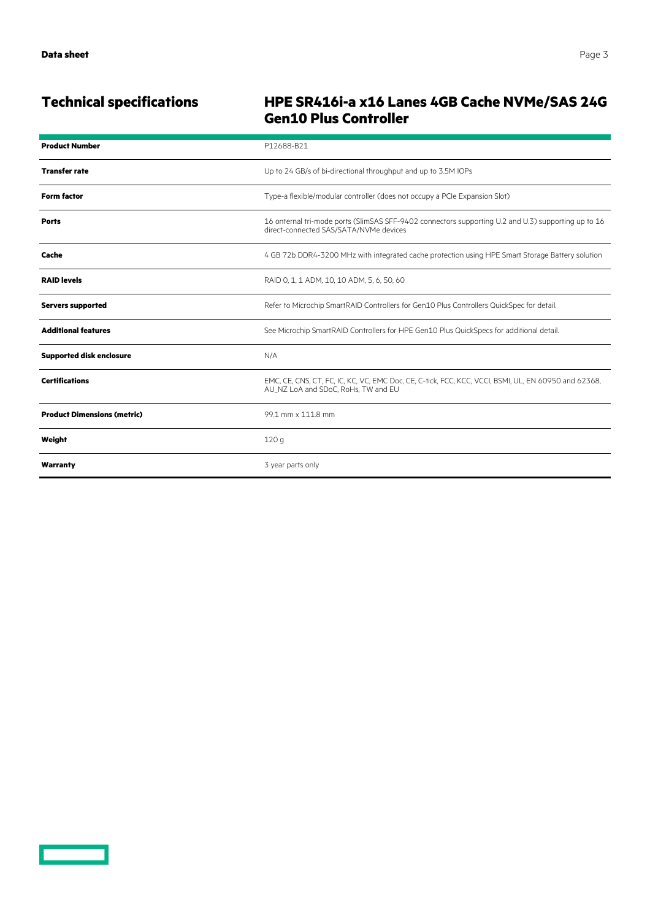# **Technical specifications HPE SR416i-a x16 Lanes 4GB Cache NVMe/SAS 24G Gen10 Plus Controller**

| <b>Product Number</b>              | P12688-B21                                                                                                                                    |
|------------------------------------|-----------------------------------------------------------------------------------------------------------------------------------------------|
| <b>Transfer rate</b>               | Up to 24 GB/s of bi-directional throughput and up to 3.5M IOPs                                                                                |
| <b>Form factor</b>                 | Type-a flexible/modular controller (does not occupy a PCIe Expansion Slot)                                                                    |
| <b>Ports</b>                       | 16 onternal tri-mode ports (SlimSAS SFF-9402 connectors supporting U.2 and U.3) supporting up to 16<br>direct-connected SAS/SATA/NVMe devices |
| Cache                              | 4 GB 72b DDR4-3200 MHz with integrated cache protection using HPE Smart Storage Battery solution                                              |
| <b>RAID levels</b>                 | RAID 0, 1, 1 ADM, 10, 10 ADM, 5, 6, 50, 60                                                                                                    |
| <b>Servers supported</b>           | Refer to Microchip SmartRAID Controllers for Gen10 Plus Controllers QuickSpec for detail.                                                     |
| <b>Additional features</b>         | See Microchip SmartRAID Controllers for HPE Gen10 Plus QuickSpecs for additional detail.                                                      |
| <b>Supported disk enclosure</b>    | N/A                                                                                                                                           |
| <b>Certifications</b>              | EMC, CE, CNS, CT, FC, IC, KC, VC, EMC Doc, CE, C-tick, FCC, KCC, VCCI, BSMI, UL, EN 60950 and 62368,<br>AU NZ LoA and SDoC, RoHs, TW and EU   |
| <b>Product Dimensions (metric)</b> | 99.1 mm x 111.8 mm                                                                                                                            |
| Weight                             | 120q                                                                                                                                          |
| Warranty                           | 3 year parts only                                                                                                                             |